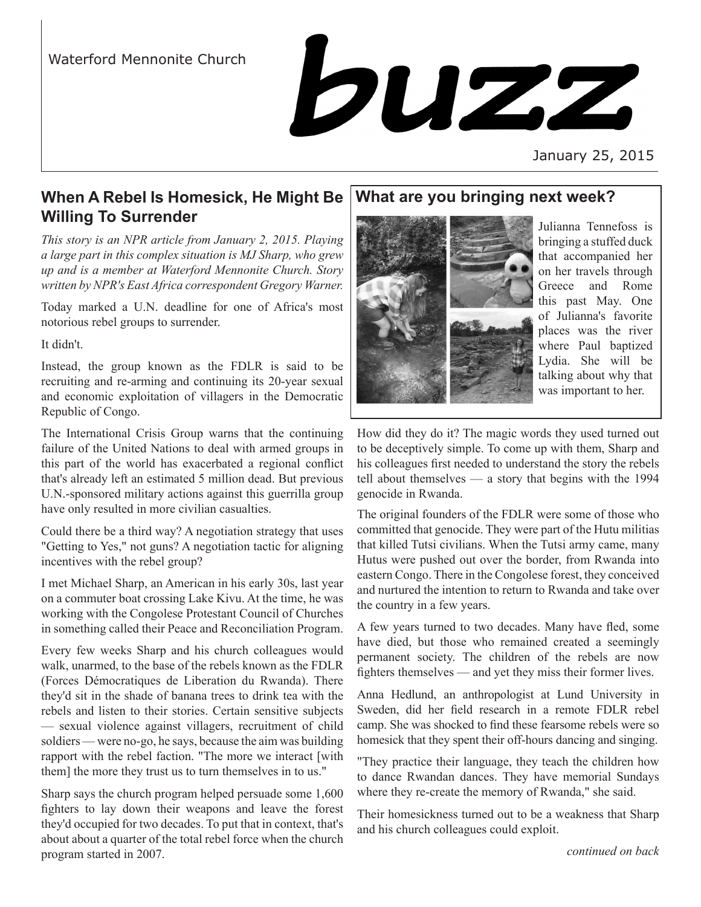# Waterford Mennonite Church



January 25, 2015

# **When A Rebel Is Homesick, He Might Be Willing To Surrender**

*This story is an NPR article from January 2, 2015. Playing a large part in this complex situation is MJ Sharp, who grew up and is a member at Waterford Mennonite Church. Story written by NPR's East Africa correspondent Gregory Warner.* 

Today marked a U.N. deadline for one of Africa's most notorious rebel groups to surrender.

It didn't.

Instead, the group known as the FDLR is said to be recruiting and re-arming and continuing its 20-year sexual and economic exploitation of villagers in the Democratic Republic of Congo.

The International Crisis Group warns that the continuing failure of the United Nations to deal with armed groups in this part of the world has exacerbated a regional conflict that's already left an estimated 5 million dead. But previous U.N.-sponsored military actions against this guerrilla group have only resulted in more civilian casualties.

Could there be a third way? A negotiation strategy that uses "Getting to Yes," not guns? A negotiation tactic for aligning incentives with the rebel group?

I met Michael Sharp, an American in his early 30s, last year on a commuter boat crossing Lake Kivu. At the time, he was working with the Congolese Protestant Council of Churches in something called their Peace and Reconciliation Program.

Every few weeks Sharp and his church colleagues would walk, unarmed, to the base of the rebels known as the FDLR (Forces Démocratiques de Liberation du Rwanda). There they'd sit in the shade of banana trees to drink tea with the rebels and listen to their stories. Certain sensitive subjects — sexual violence against villagers, recruitment of child soldiers — were no-go, he says, because the aim was building rapport with the rebel faction. "The more we interact [with them] the more they trust us to turn themselves in to us."

Sharp says the church program helped persuade some 1,600 fighters to lay down their weapons and leave the forest they'd occupied for two decades. To put that in context, that's about about a quarter of the total rebel force when the church program started in 2007.

# **What are you bringing next week?**



Julianna Tennefoss is bringing a stuffed duck that accompanied her on her travels through Greece and Rome this past May. One of Julianna's favorite places was the river where Paul baptized Lydia. She will be talking about why that was important to her.

How did they do it? The magic words they used turned out to be deceptively simple. To come up with them, Sharp and his colleagues first needed to understand the story the rebels tell about themselves — a story that begins with the 1994 genocide in Rwanda.

The original founders of the FDLR were some of those who committed that genocide. They were part of the Hutu militias that killed Tutsi civilians. When the Tutsi army came, many Hutus were pushed out over the border, from Rwanda into eastern Congo. There in the Congolese forest, they conceived and nurtured the intention to return to Rwanda and take over the country in a few years.

A few years turned to two decades. Many have fled, some have died, but those who remained created a seemingly permanent society. The children of the rebels are now fighters themselves — and yet they miss their former lives.

Anna Hedlund, an anthropologist at Lund University in Sweden, did her field research in a remote FDLR rebel camp. She was shocked to find these fearsome rebels were so homesick that they spent their off-hours dancing and singing.

"They practice their language, they teach the children how to dance Rwandan dances. They have memorial Sundays where they re-create the memory of Rwanda," she said.

Their homesickness turned out to be a weakness that Sharp and his church colleagues could exploit.